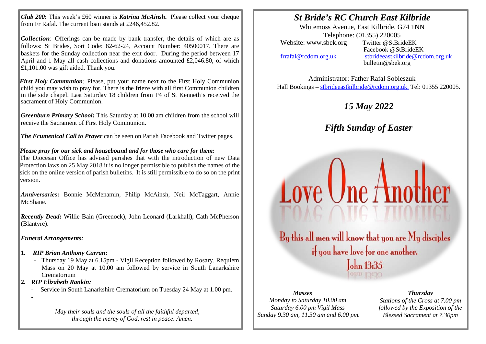*Club 200***:** This week's £60 winner is *Katrina McAinsh***.** Please collect your cheque from Fr Rafal. The current loan stands at £246,452.82.

*Collection*: Offerings can be made by bank transfer, the details of which are as follows: St Brides, Sort Code: 82-62-24, Account Number: 40500017. There are baskets for the Sunday collection near the exit door. During the period between 17 April and 1 May all cash collections and donations amounted £2,046.80, of which £1,101.00 was gift aided. Thank you.

*First Holy Communion:* Please, put your name next to the First Holy Communion child you may wish to pray for. There is the frieze with all first Communion children in the side chapel. Last Saturday 18 children from P4 of St Kenneth's received the sacrament of Holy Communion.

*Greenburn Primary School***:** This Saturday at 10.00 am children from the school will receive the Sacrament of First Holy Communion.

*The Ecumenical Call to Prayer* can be seen on Parish Facebook and Twitter pages.

## *Please pray for our sick and housebound and for those who care for them***:**

The Diocesan Office has advised parishes that with the introduction of new Data Protection laws on 25 May 2018 it is no longer permissible to publish the names of the sick on the online version of parish bulletins. It is still permissible to do so on the print version.

*Anniversaries***:** Bonnie McMenamin, Philip McAinsh, Neil McTaggart, Annie McShane.

*Recently Dead***:** Willie Bain (Greenock), John Leonard (Larkhall), Cath McPherson (Blantyre).

*Funeral Arrangements:*

- **1.** *RIP Brian Anthony Curran***:**
	- Thursday 19 May at 6.15pm Vigil Reception followed by Rosary. Requiem Mass on 20 May at 10.00 am followed by service in South Lanarkshire Crematorium
- **2.** *RIP Elizabeth Rankin:*

-

- Service in South Lanarkshire Crematorium on Tuesday 24 May at 1.00 pm.

*May their souls and the souls of all the faithful departed, through the mercy of God, rest in peace. Amen.*

# *St Bride's RC Church East Kilbride*

Whitemoss Avenue, East Kilbride, G74 1NN Telephone: (01355) 220005<br>sbek.org Twitter @StBrideEK Website: www.sbek.org

I I

> Facebook @StBrideEK [frrafal@rcdom.org.uk](mailto:frrafal@rcdom.org.uk) [stbrideeastkilbride@rcdom.org.uk](mailto:stbrideeastkilbride@rcdom.org.uk)  bulletin@sbek.org

Administrator: Father Rafal Sobieszuk Hall Bookings – [stbrideeastkilbride@rcdom.org.uk.](mailto:stbrideeastkilbride@rcdom.org.uk) Tel: 01355 220005.

## *15 May 2022*

*Fifth Sunday of Easter* 

By this all men will know that you are My disciples if you have love for one another. John 13:35

Love Une Another

#### *Masses*

*Monday to Saturday 10.00 am Saturday 6.00 pm Vigil Mass Sunday 9.30 am, 11.30 am and 6.00 pm.*

### *Thursday*

*Stations of the Cross at 7.00 pm followed by the Exposition of the Blessed Sacrament at 7.30pm*